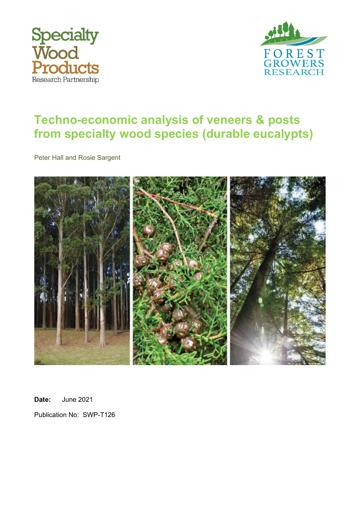



# **Techno-economic analysis of veneers & posts from specialty wood species (durable eucalypts)**

Peter Hall and Rosie Sargent



**Date:** June 2021

Publication No: SWP-T126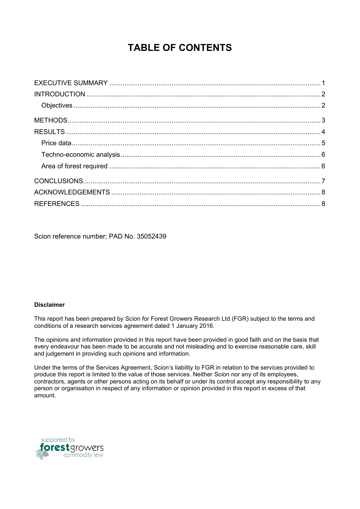# **TABLE OF CONTENTS**

Scion reference number; PAD No. 35052439

#### **Disclaimer**

This report has been prepared by Scion for Forest Growers Research Ltd (FGR) subject to the terms and conditions of a research services agreement dated 1 January 2016.

The opinions and information provided in this report have been provided in good faith and on the basis that every endeavour has been made to be accurate and not misleading and to exercise reasonable care, skill and judgement in providing such opinions and information.

Under the terms of the Services Agreement, Scion's liability to FGR in relation to the services provided to produce this report is limited to the value of those services. Neither Scion nor any of its employees, contractors, agents or other persons acting on its behalf or under its control accept any responsibility to any person or organisation in respect of any information or opinion provided in this report in excess of that amount.

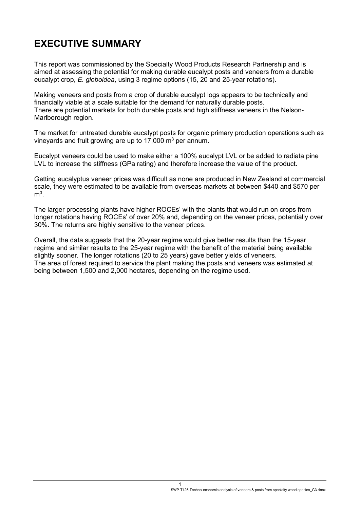#### <span id="page-2-0"></span>**EXECUTIVE SUMMARY**

This report was commissioned by the Specialty Wood Products Research Partnership and is aimed at assessing the potential for making durable eucalypt posts and veneers from a durable eucalypt crop, *E. globoidea*, using 3 regime options (15, 20 and 25-year rotations).

Making veneers and posts from a crop of durable eucalypt logs appears to be technically and financially viable at a scale suitable for the demand for naturally durable posts. There are potential markets for both durable posts and high stiffness veneers in the Nelson-Marlborough region.

The market for untreated durable eucalypt posts for organic primary production operations such as vineyards and fruit growing are up to  $17,000$  m<sup>3</sup> per annum.

Eucalypt veneers could be used to make either a 100% eucalypt LVL or be added to radiata pine LVL to increase the stiffness (GPa rating) and therefore increase the value of the product.

Getting eucalyptus veneer prices was difficult as none are produced in New Zealand at commercial scale, they were estimated to be available from overseas markets at between \$440 and \$570 per  $m<sup>3</sup>$ .

The larger processing plants have higher ROCEs' with the plants that would run on crops from longer rotations having ROCEs' of over 20% and, depending on the veneer prices, potentially over 30%. The returns are highly sensitive to the veneer prices.

Overall, the data suggests that the 20-year regime would give better results than the 15-year regime and similar results to the 25-year regime with the benefit of the material being available slightly sooner. The longer rotations (20 to 25 years) gave better yields of veneers. The area of forest required to service the plant making the posts and veneers was estimated at being between 1,500 and 2,000 hectares, depending on the regime used.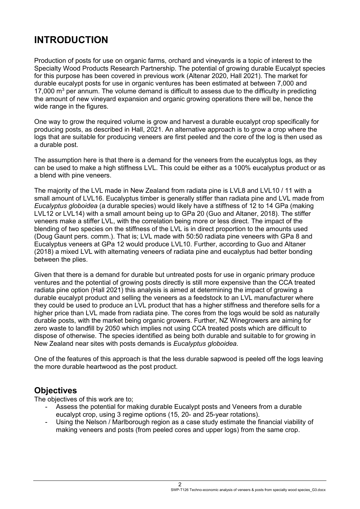# <span id="page-3-0"></span>**INTRODUCTION**

Production of posts for use on organic farms, orchard and vineyards is a topic of interest to the Specialty Wood Products Research Partnership. The potential of growing durable Eucalypt species for this purpose has been covered in previous work (Altenar 2020, Hall 2021). The market for durable eucalypt posts for use in organic ventures has been estimated at between 7,000 and 17,000  $\mathrm{m}^3$  per annum. The volume demand is difficult to assess due to the difficulty in predicting the amount of new vineyard expansion and organic growing operations there will be, hence the wide range in the figures.

One way to grow the required volume is grow and harvest a durable eucalypt crop specifically for producing posts, as described in Hall, 2021. An alternative approach is to grow a crop where the logs that are suitable for producing veneers are first peeled and the core of the log is then used as a durable post.

The assumption here is that there is a demand for the veneers from the eucalyptus logs, as they can be used to make a high stiffness LVL. This could be either as a 100% eucalyptus product or as a blend with pine veneers.

The majority of the LVL made in New Zealand from radiata pine is LVL8 and LVL10 / 11 with a small amount of LVL16. Eucalyptus timber is generally stiffer than radiata pine and LVL made from *Eucalyptus globoidea* (a durable species) would likely have a stiffness of 12 to 14 GPa (making LVL12 or LVL14) with a small amount being up to GPa 20 (Guo and Altaner, 2018). The stiffer veneers make a stiffer LVL, with the correlation being more or less direct. The impact of the blending of two species on the stiffness of the LVL is in direct proportion to the amounts used (Doug Gaunt pers. comm.). That is; LVL made with 50:50 radiata pine veneers with GPa 8 and Eucalyptus veneers at GPa 12 would produce LVL10. Further, according to Guo and Altaner (2018) a mixed LVL with alternating veneers of radiata pine and eucalyptus had better bonding between the plies.

Given that there is a demand for durable but untreated posts for use in organic primary produce ventures and the potential of growing posts directly is still more expensive than the CCA treated radiata pine option (Hall 2021) this analysis is aimed at determining the impact of growing a durable eucalypt product and selling the veneers as a feedstock to an LVL manufacturer where they could be used to produce an LVL product that has a higher stiffness and therefore sells for a higher price than LVL made from radiata pine. The cores from the logs would be sold as naturally durable posts, with the market being organic growers. Further, NZ Winegrowers are aiming for zero waste to landfill by 2050 which implies not using CCA treated posts which are difficult to dispose of otherwise. The species identified as being both durable and suitable to for growing in New Zealand near sites with posts demands is *Eucalyptus globoidea.*

One of the features of this approach is that the less durable sapwood is peeled off the logs leaving the more durable heartwood as the post product.

#### <span id="page-3-1"></span>**Objectives**

The objectives of this work are to;

- Assess the potential for making durable Eucalypt posts and Veneers from a durable eucalypt crop, using 3 regime options (15, 20- and 25-year rotations).
- Using the Nelson / Marlborough region as a case study estimate the financial viability of making veneers and posts (from peeled cores and upper logs) from the same crop.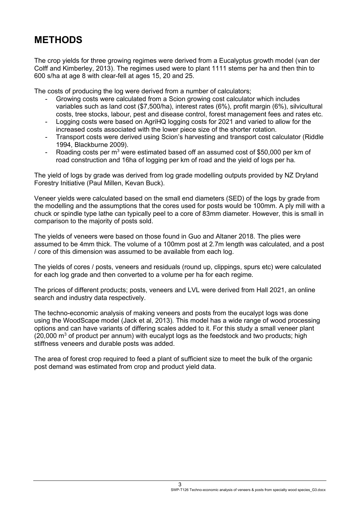## <span id="page-4-0"></span>**METHODS**

The crop yields for three growing regimes were derived from a Eucalyptus growth model (van der Colff and Kimberley, 2013). The regimes used were to plant 1111 stems per ha and then thin to 600 s/ha at age 8 with clear-fell at ages 15, 20 and 25.

The costs of producing the log were derived from a number of calculators;

- Growing costs were calculated from a Scion growing cost calculator which includes variables such as land cost (\$7,500/ha), interest rates (6%), profit margin (6%), silvicultural costs, tree stocks, labour, pest and disease control, forest management fees and rates etc.
- Logging costs were based on AgriHQ logging costs for 2021 and varied to allow for the increased costs associated with the lower piece size of the shorter rotation.
- Transport costs were derived using Scion's harvesting and transport cost calculator (Riddle 1994, Blackburne 2009).
- Roading costs per  $m<sup>3</sup>$  were estimated based off an assumed cost of \$50,000 per km of road construction and 16ha of logging per km of road and the yield of logs per ha.

The yield of logs by grade was derived from log grade modelling outputs provided by NZ Dryland Forestry Initiative (Paul Millen, Kevan Buck).

Veneer yields were calculated based on the small end diameters (SED) of the logs by grade from the modelling and the assumptions that the cores used for posts would be 100mm. A ply mill with a chuck or spindle type lathe can typically peel to a core of 83mm diameter. However, this is small in comparison to the majority of posts sold.

The yields of veneers were based on those found in Guo and Altaner 2018. The plies were assumed to be 4mm thick. The volume of a 100mm post at 2.7m length was calculated, and a post / core of this dimension was assumed to be available from each log.

The yields of cores / posts, veneers and residuals (round up, clippings, spurs etc) were calculated for each log grade and then converted to a volume per ha for each regime.

The prices of different products; posts, veneers and LVL were derived from Hall 2021, an online search and industry data respectively.

The techno-economic analysis of making veneers and posts from the eucalypt logs was done using the WoodScape model (Jack et al, 2013). This model has a wide range of wood processing options and can have variants of differing scales added to it. For this study a small veneer plant  $(20,000 \text{ m}^3)$  of product per annum) with eucalypt logs as the feedstock and two products; high stiffness veneers and durable posts was added.

The area of forest crop required to feed a plant of sufficient size to meet the bulk of the organic post demand was estimated from crop and product yield data.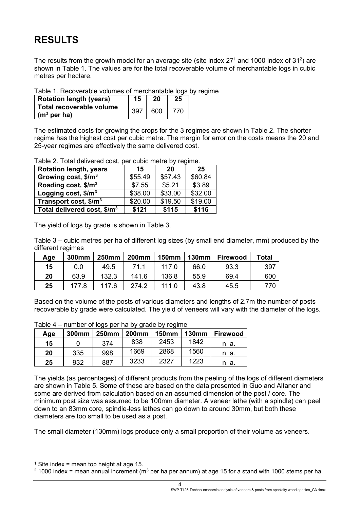# <span id="page-5-0"></span>**RESULTS**

The results from the growth model for an average site (site index 27<sup>1</sup> and 1000 index of 31<sup>2</sup>) are shown in Table 1. The values are for the total recoverable volume of merchantable logs in cubic metres per hectare.

Table 1. Recoverable volumes of merchantable logs by regime

| <b>Rotation length (years)</b>                             | 15  | 20  | 25  |
|------------------------------------------------------------|-----|-----|-----|
| Total recoverable volume<br>$\int$ (m <sup>3</sup> per ha) | 397 | 600 | 770 |

The estimated costs for growing the crops for the 3 regimes are shown in Table 2. The shorter regime has the highest cost per cubic metre. The margin for error on the costs means the 20 and 25-year regimes are effectively the same delivered cost.

Table 2. Total delivered cost, per cubic metre by regime.

| <b>Rotation length, years</b>           | 15      | 20      | 25      |
|-----------------------------------------|---------|---------|---------|
| Growing cost, $$/m^3$                   | \$55.49 | \$57.43 | \$60.84 |
| Roading cost, \$/m <sup>3</sup>         | \$7.55  | \$5.21  | \$3.89  |
| Logging cost, $$/m3$                    | \$38.00 | \$33.00 | \$32.00 |
| Transport cost, $$/m3$                  | \$20.00 | \$19.50 | \$19.00 |
| Total delivered cost, \$/m <sup>3</sup> | \$121   | \$115   | \$116   |

The yield of logs by grade is shown in Table 3.

Table 3 – cubic metres per ha of different log sizes (by small end diameter, mm) produced by the different regimes

| Age | 300mm | <b>250mm</b> | <b>200mm</b> | <b>150mm</b> | <b>130mm</b> | <b>Firewood</b> | Total |
|-----|-------|--------------|--------------|--------------|--------------|-----------------|-------|
| 15  | 0.0   | 49.5         | 71.1         | 117.0        | 66.0         | 93.3            | 397   |
| 20  | 63.9  | 132.3        | 141.6        | 136.8        | 55.9         | 69.4            | 600   |
| 25  | 177.8 | 117.6        | 274.2        | 111.0        | 43.8         | 45.5            | 770   |

Based on the volume of the posts of various diameters and lengths of 2.7m the number of posts recoverable by grade were calculated. The yield of veneers will vary with the diameter of the logs.

| Age | 1.9111180101109000001110181<br>300mm | <b>250mm</b> | $-$<br><b>200mm</b> | .<br><b>150mm</b> | <b>130mm</b> | Firewood |
|-----|--------------------------------------|--------------|---------------------|-------------------|--------------|----------|
| 15  |                                      | 374          | 838                 | 2453              | 1842         | n. a.    |
| 20  | 335                                  | 998          | 1669                | 2868              | 1560         | n. a.    |
| 25  | 932                                  | 887          | 3233                | 2327              | 1223         | n. a.    |

Table  $4 -$  number of logs per ha by grade by regime

The yields (as percentages) of different products from the peeling of the logs of different diameters are shown in Table 5. Some of these are based on the data presented in Guo and Altaner and some are derived from calculation based on an assumed dimension of the post / core. The minimum post size was assumed to be 100mm diameter. A veneer lathe (with a spindle) can peel down to an 83mm core, spindle-less lathes can go down to around 30mm, but both these diameters are too small to be used as a post.

The small diameter (130mm) logs produce only a small proportion of their volume as veneers.

<sup>&</sup>lt;sup>1</sup> Site index = mean top height at age 15.

 $2$  1000 index = mean annual increment (m<sup>3</sup> per ha per annum) at age 15 for a stand with 1000 stems per ha.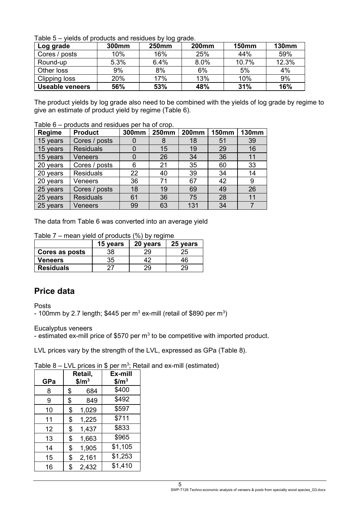Table 5 – yields of products and residues by log grade.

|                        |       | ັບ           |              |              |              |
|------------------------|-------|--------------|--------------|--------------|--------------|
| Log grade              | 300mm | <b>250mm</b> | <b>200mm</b> | <b>150mm</b> | <b>130mm</b> |
| Cores / posts          | 10%   | 16%          | 25%          | 44%          | 59%          |
| Round-up               | 5.3%  | 6.4%         | 8.0%         | 10.7%        | 12.3%        |
| Other loss             | 9%    | 8%           | 6%           | 5%           | 4%           |
| Clipping loss          | 20%   | 17%          | 13%          | 10%          | 9%           |
| <b>Useable veneers</b> | 56%   | 53%          | 48%          | 31%          | 16%          |

The product yields by log grade also need to be combined with the yields of log grade by regime to give an estimate of product yield by regime (Table 6).

Table 6 – products and residues per ha of crop.

| Regime   | <b>Product</b>   | 300mm | <b>250mm</b> | <b>200mm</b> | <b>150mm</b> | <b>130mm</b> |
|----------|------------------|-------|--------------|--------------|--------------|--------------|
| 15 years | Cores / posts    |       | 8            | 18           | 51           | 39           |
| 15 years | <b>Residuals</b> | 0     | 15           | 19           | 29           | 16           |
| 15 years | <b>Veneers</b>   | 0     | 26           | 34           | 36           | 11           |
| 20 years | Cores / posts    | 6     | 21           | 35           | 60           | 33           |
| 20 years | <b>Residuals</b> | 22    | 40           | 39           | 34           | 14           |
| 20 years | Veneers          | 36    | 71           | 67           | 42           | 9            |
| 25 years | Cores / posts    | 18    | 19           | 69           | 49           | 26           |
| 25 years | <b>Residuals</b> | 61    | 36           | 75           | 28           | 11           |
| 25 years | Veneers          | 99    | 63           | 131          | 34           | 7            |

The data from Table 6 was converted into an average yield

| $1$ able $1 - 1$ lieal i yield of products (70) by require |          |          |          |  |  |  |
|------------------------------------------------------------|----------|----------|----------|--|--|--|
|                                                            | 15 years | 20 years | 25 years |  |  |  |
| Cores as posts                                             | 38       | 29       | 25       |  |  |  |
| <b>Veneers</b>                                             | 35       |          | 46       |  |  |  |
| <b>Residuals</b>                                           |          | 29       | 29       |  |  |  |

 $Table 7$  mean yield of products  $(0/6)$  by regime

#### <span id="page-6-0"></span>**Price data**

Posts

- 100mm by 2.7 length; \$445 per m $^3$  ex-mill (retail of \$890 per m $^3)$ 

Eucalyptus veneers

- estimated ex-mill price of \$570 per  $m<sup>3</sup>$  to be competitive with imported product.

LVL prices vary by the strength of the LVL, expressed as GPa (Table 8).

Table 8 – LVL prices in \$ per m<sup>3</sup>; Retail and ex-mill (estimated)

| GPa | Retail,<br>$$/m^3$$ |       | Ex-mill<br>$$/m^3$ |
|-----|---------------------|-------|--------------------|
| 8   | \$                  | 684   | \$400              |
| 9   | \$                  | 849   | \$492              |
| 10  | \$                  | 1,029 | \$597              |
| 11  | \$                  | 1,225 | \$711              |
| 12  | \$                  | 1,437 | \$833              |
| 13  | \$                  | 1,663 | \$965              |
| 14  | \$                  | 1,905 | \$1,105            |
| 15  | \$                  | 2,161 | \$1,253            |
| 16  | \$                  | 2,432 | \$1,410            |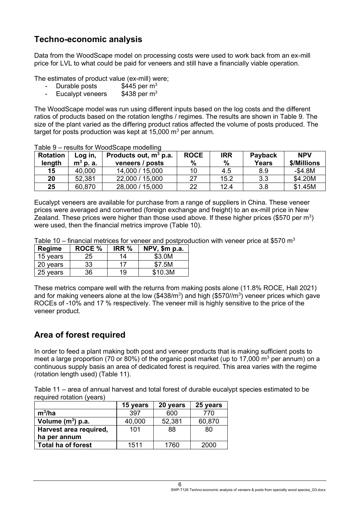#### <span id="page-7-0"></span>**Techno-economic analysis**

Data from the WoodScape model on processing costs were used to work back from an ex-mill price for LVL to what could be paid for veneers and still have a financially viable operation.

The estimates of product value (ex-mill) were;

- Durable posts  $$445$  per m<sup>3</sup>
- Eucalypt veneers  $$438$  per m<sup>3</sup>

The WoodScape model was run using different inputs based on the log costs and the different ratios of products based on the rotation lengths / regimes. The results are shown in Table 9. The size of the plant varied as the differing product ratios affected the volume of posts produced. The target for posts production was kept at  $15,000$  m<sup>3</sup> per annum.

| <b>Rotation</b><br>length | Log in,<br>$m3$ p. a. | Products out, $m^3$ p.a.<br>veneers / posts | <b>ROCE</b><br>$\%$ | <b>IRR</b><br>$\%$ | Payback<br><b>Years</b> | <b>NPV</b><br>\$/Millions |
|---------------------------|-----------------------|---------------------------------------------|---------------------|--------------------|-------------------------|---------------------------|
| 15                        | 40,000                | 14,000 / 15,000                             |                     | 4.5                | 8.9                     | $-$4.8M$                  |
| 20                        | 52,381                | 22,000 / 15,000                             | דר                  | 15.2               | 3.3                     | \$4.20M                   |
| 25                        | 60,870                | 28,000 / 15,000                             | 22                  | 12.4               | 3.8                     | \$1.45M                   |

Table 9 – results for WoodScape modelling

Eucalypt veneers are available for purchase from a range of suppliers in China. These veneer prices were averaged and converted (foreign exchange and freight) to an ex-mill price in New Zealand. These prices were higher than those used above. If these higher prices (\$570 per m<sup>3</sup>) were used, then the financial metrics improve (Table 10).

Table 10 – financial metrices for veneer and postproduction with veneer price at \$570  $m<sup>3</sup>$ 

| <b>Regime</b> | <b>ROCE %</b> | IRR % | $NPV$ , \$m p.a. |
|---------------|---------------|-------|------------------|
| 15 years      | 25            | 14    | \$3.0M           |
| 20 years      | 33            | 17    | \$7.5M           |
| 25 years      | 36            | 19    | \$10.3M          |

These metrics compare well with the returns from making posts alone (11.8% ROCE, Hall 2021) and for making veneers alone at the low (\$438/m<sup>3</sup>) and high (\$570//m<sup>3</sup>) veneer prices which gave ROCEs of -10% and 17 % respectively. The veneer mill is highly sensitive to the price of the veneer product.

#### <span id="page-7-1"></span>**Area of forest required**

In order to feed a plant making both post and veneer products that is making sufficient posts to meet a large proportion (70 or 80%) of the organic post market (up to 17,000  $\mathrm{m}^3$  per annum) on a continuous supply basis an area of dedicated forest is required. This area varies with the regime (rotation length used) (Table 11).

Table 11 – area of annual harvest and total forest of durable eucalypt species estimated to be required rotation (years)

|                           | 15 years | 20 years | 25 years |
|---------------------------|----------|----------|----------|
| $m^3/ha$                  | 397      | 600      | 770      |
| Volume $(m^3)$ p.a.       | 40,000   | 52,381   | 60,870   |
| Harvest area required,    | 101      | 88       | 80       |
| ha per annum              |          |          |          |
| <b>Total ha of forest</b> | 1511     | 1760     | 2000     |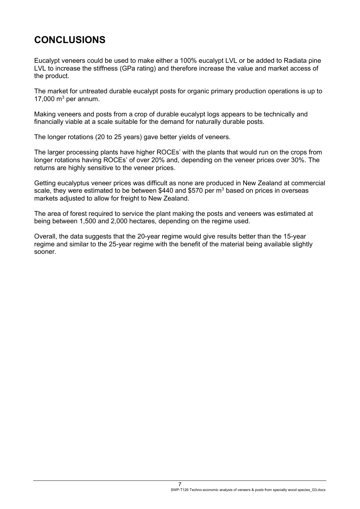# <span id="page-8-0"></span>**CONCLUSIONS**

Eucalypt veneers could be used to make either a 100% eucalypt LVL or be added to Radiata pine LVL to increase the stiffness (GPa rating) and therefore increase the value and market access of the product.

The market for untreated durable eucalypt posts for organic primary production operations is up to 17,000  $m<sup>3</sup>$  per annum.

Making veneers and posts from a crop of durable eucalypt logs appears to be technically and financially viable at a scale suitable for the demand for naturally durable posts.

The longer rotations (20 to 25 years) gave better yields of veneers.

The larger processing plants have higher ROCEs' with the plants that would run on the crops from longer rotations having ROCEs' of over 20% and, depending on the veneer prices over 30%. The returns are highly sensitive to the veneer prices.

Getting eucalyptus veneer prices was difficult as none are produced in New Zealand at commercial scale, they were estimated to be between \$440 and \$570 per m<sup>3</sup> based on prices in overseas markets adjusted to allow for freight to New Zealand.

The area of forest required to service the plant making the posts and veneers was estimated at being between 1,500 and 2,000 hectares, depending on the regime used.

Overall, the data suggests that the 20-year regime would give results better than the 15-year regime and similar to the 25-year regime with the benefit of the material being available slightly sooner.